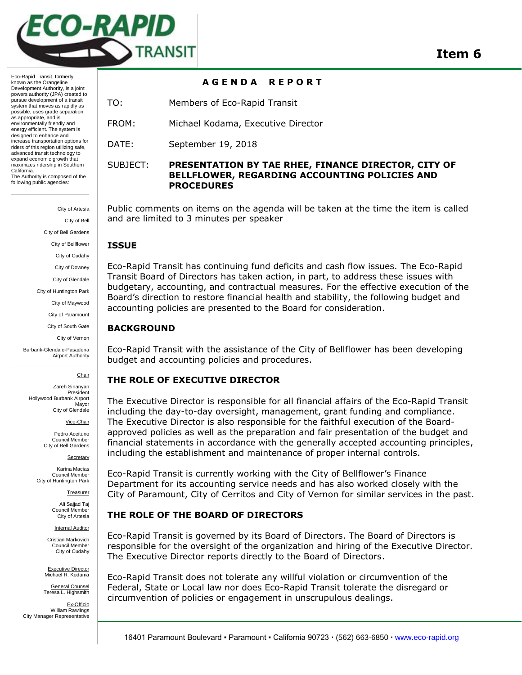

**A G E N D A R E P O R T** 

Eco-Rapid Transit, formerly known as the Orangeline Development Authority, is a joint powers authority (JPA) created to pursue development of a transit system that moves as rapidly as possible, uses grade separation as appropriate, and is environmentally friendly and energy efficient. The system is designed to enhance and increase transportation options for riders of this region utilizing safe, advanced transit technology to expand economic growth that maximizes ridership in Southern California. The Authority is composed of the following public agencies:

> City of Artesia City of Bell City of Bell Gardens City of Bellflower City of Cudahy City of Downey City of Glendale City of Huntington Park City of Maywood City of Paramount City of South Gate

> > City of Vernon

Burbank-Glendale-Pasadena Airport Authority

**Chair** 

Zareh Sinanyan President Hollywood Burbank Airport Mayor City of Glendale

Vice-Chair

Pedro Aceituno Council Member City of Bell Gardens

**Secretary** 

Karina Macias Council Member City of Huntington Park

Treasurer

Ali Sajjad Taj Council Member City of Artesia

Internal Auditor

Cristian Markovich Council Member City of Cudahy

Executive Director Michael R. Kodama

General Counsel Teresa L. Highsmith

Ex-Officio William Rawlings City Manager Representative

TO: Members of Eco-Rapid Transit

FROM: Michael Kodama, Executive Director

DATE: September 19, 2018

## SUBJECT: **PRESENTATION BY TAE RHEE, FINANCE DIRECTOR, CITY OF BELLFLOWER, REGARDING ACCOUNTING POLICIES AND PROCEDURES**

Public comments on items on the agenda will be taken at the time the item is called and are limited to 3 minutes per speaker

## **ISSUE**

Eco-Rapid Transit has continuing fund deficits and cash flow issues. The Eco-Rapid Transit Board of Directors has taken action, in part, to address these issues with budgetary, accounting, and contractual measures. For the effective execution of the Board's direction to restore financial health and stability, the following budget and accounting policies are presented to the Board for consideration.

## **BACKGROUND**

Eco-Rapid Transit with the assistance of the City of Bellflower has been developing budget and accounting policies and procedures.

# **THE ROLE OF EXECUTIVE DIRECTOR**

The Executive Director is responsible for all financial affairs of the Eco-Rapid Transit including the day-to-day oversight, management, grant funding and compliance. The Executive Director is also responsible for the faithful execution of the Boardapproved policies as well as the preparation and fair presentation of the budget and financial statements in accordance with the generally accepted accounting principles, including the establishment and maintenance of proper internal controls.

Eco-Rapid Transit is currently working with the City of Bellflower's Finance Department for its accounting service needs and has also worked closely with the City of Paramount, City of Cerritos and City of Vernon for similar services in the past.

# **THE ROLE OF THE BOARD OF DIRECTORS**

Eco-Rapid Transit is governed by its Board of Directors. The Board of Directors is responsible for the oversight of the organization and hiring of the Executive Director. The Executive Director reports directly to the Board of Directors.

Eco-Rapid Transit does not tolerate any willful violation or circumvention of the Federal, State or Local law nor does Eco-Rapid Transit tolerate the disregard or circumvention of policies or engagement in unscrupulous dealings.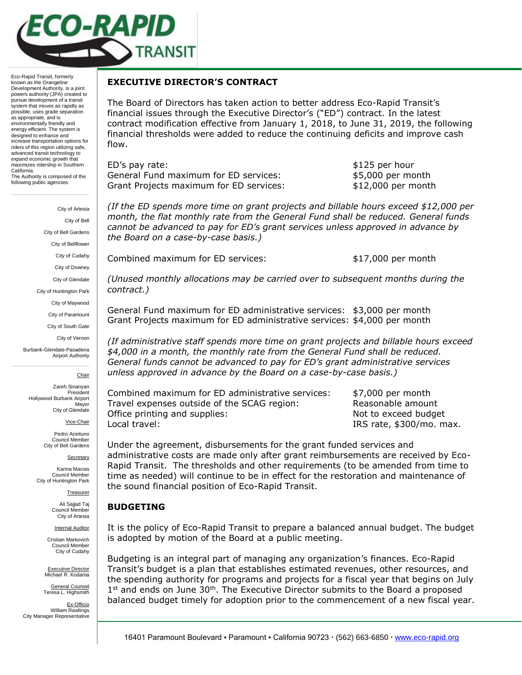

Eco-Rapid Transit, formerly known as the Orangeline Development Authority, is a joint powers authority (JPA) created to pursue development of a transit system that moves as rapidly as possible, uses grade separation as appropriate, and is environmentally friendly and energy efficient. The system is designed to enhance and increase transportation options for riders of this region utilizing safe, advanced transit technology to expand economic growth that maximizes ridership in Southern California. The Authority is composed of the following public agencies:

> City of Artesia City of Bell City of Bell Gardens City of Bellflower City of Cudahy City of Downey City of Glendale City of Huntington Park City of Maywood City of Paramount City of South Gate City of Vernon

Burbank-Glendale-Pasadena Airport Authority

**Chair** 

Zareh Sinanyan President Hollywood Burbank Airport Mayor City of Glendale

Vice-Chair

Pedro Aceituno Council Member City of Bell Gardens

Secretary

Karina Macias Council Member City of Huntington Park

Treasurer

Ali Sajjad Taj Council Member City of Artesia

Internal Auditor

Cristian Markovich Council Member City of Cudahy

Executive Director Michael R. Kodama

General Counsel Teresa L. Highsmith

Ex-Officio William Rawlings City Manager Representative

## **EXECUTIVE DIRECTOR'S CONTRACT**

The Board of Directors has taken action to better address Eco-Rapid Transit's financial issues through the Executive Director's ("ED") contract. In the latest contract modification effective from January 1, 2018, to June 31, 2019, the following financial thresholds were added to reduce the continuing deficits and improve cash flow.

ED's pay rate:  $$125$  per hour General Fund maximum for ED services:  $$5,000$  per month Grant Projects maximum for ED services:  $$12,000$  per month

*(If the ED spends more time on grant projects and billable hours exceed \$12,000 per month, the flat monthly rate from the General Fund shall be reduced. General funds cannot be advanced to pay for ED's grant services unless approved in advance by the Board on a case-by-case basis.)*

Combined maximum for ED services:  $$17,000$  per month

*(Unused monthly allocations may be carried over to subsequent months during the contract.)*

General Fund maximum for ED administrative services: \$3,000 per month Grant Projects maximum for ED administrative services: \$4,000 per month

*(If administrative staff spends more time on grant projects and billable hours exceed \$4,000 in a month, the monthly rate from the General Fund shall be reduced. General funds cannot be advanced to pay for ED's grant administrative services unless approved in advance by the Board on a case-by-case basis.)*

Combined maximum for ED administrative services: \$7,000 per month Travel expenses outside of the SCAG region: Reasonable amount Office printing and supplies: Not to exceed budget Local travel: IRS rate, \$300/mo. max.

Under the agreement, disbursements for the grant funded services and administrative costs are made only after grant reimbursements are received by Eco-Rapid Transit. The thresholds and other requirements (to be amended from time to time as needed) will continue to be in effect for the restoration and maintenance of the sound financial position of Eco-Rapid Transit.

## **BUDGETING**

It is the policy of Eco-Rapid Transit to prepare a balanced annual budget. The budget is adopted by motion of the Board at a public meeting.

Budgeting is an integral part of managing any organization's finances. Eco-Rapid Transit's budget is a plan that establishes estimated revenues, other resources, and the spending authority for programs and projects for a fiscal year that begins on July  $1<sup>st</sup>$  and ends on June 30<sup>th</sup>. The Executive Director submits to the Board a proposed balanced budget timely for adoption prior to the commencement of a new fiscal year.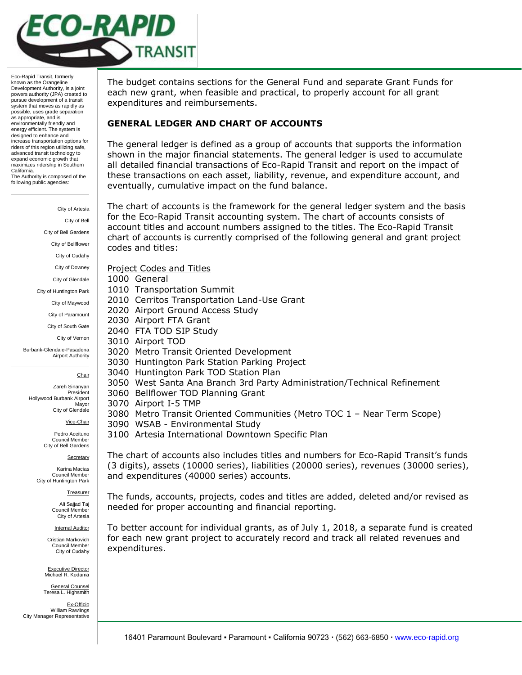

Eco-Rapid Transit, formerly known as the Orangeline Development Authority, is a joint powers authority (JPA) created to pursue development of a transit system that moves as rapidly as possible, uses grade separation as appropriate, and is environmentally friendly and energy efficient. The system is designed to enhance and increase transportation options for riders of this region utilizing safe, advanced transit technology to expand economic growth that maximizes ridership in Southern California. The Authority is composed of the following public agencies:

> City of Artesia City of Bell City of Bell Gardens City of Bellflower City of Cudahy City of Downey City of Glendale City of Huntington Park City of Maywood City of Paramount City of South Gate City of Vernon Burbank-Glendale-Pasadena Airport Authority

> > **Chair**

Zareh Sinanyan President Hollywood Burbank Airport Mayor City of Glendale

Vice-Chair

Pedro Aceituno Council Member City of Bell Gardens

Secretary

Karina Macias Council Member City of Huntington Park

Treasurer

Ali Sajjad Taj Council Member City of Artesia

Internal Auditor

Cristian Markovich Council Member City of Cudahy

Executive Director Michael R. Kodama

General Counsel Teresa L. Highsmith

Ex-Officio William Rawlings City Manager Representative

The budget contains sections for the General Fund and separate Grant Funds for each new grant, when feasible and practical, to properly account for all grant expenditures and reimbursements.

#### **GENERAL LEDGER AND CHART OF ACCOUNTS**

The general ledger is defined as a group of accounts that supports the information shown in the major financial statements. The general ledger is used to accumulate all detailed financial transactions of Eco-Rapid Transit and report on the impact of these transactions on each asset, liability, revenue, and expenditure account, and eventually, cumulative impact on the fund balance.

The chart of accounts is the framework for the general ledger system and the basis for the Eco-Rapid Transit accounting system. The chart of accounts consists of account titles and account numbers assigned to the titles. The Eco-Rapid Transit chart of accounts is currently comprised of the following general and grant project codes and titles:

Project Codes and Titles

1000 General

1010 Transportation Summit

- 2010 Cerritos Transportation Land-Use Grant
- 2020 Airport Ground Access Study

2030 Airport FTA Grant

2040 FTA TOD SIP Study

- 3010 Airport TOD
	- 3020 Metro Transit Oriented Development
	- 3030 Huntington Park Station Parking Project
	- 3040 Huntington Park TOD Station Plan
	- 3050 West Santa Ana Branch 3rd Party Administration/Technical Refinement
	- 3060 Bellflower TOD Planning Grant
	- 3070 Airport I-5 TMP
	- 3080 Metro Transit Oriented Communities (Metro TOC 1 Near Term Scope)
	- 3090 WSAB Environmental Study

3100 Artesia International Downtown Specific Plan

The chart of accounts also includes titles and numbers for Eco-Rapid Transit's funds (3 digits), assets (10000 series), liabilities (20000 series), revenues (30000 series), and expenditures (40000 series) accounts.

The funds, accounts, projects, codes and titles are added, deleted and/or revised as needed for proper accounting and financial reporting.

To better account for individual grants, as of July 1, 2018, a separate fund is created for each new grant project to accurately record and track all related revenues and expenditures.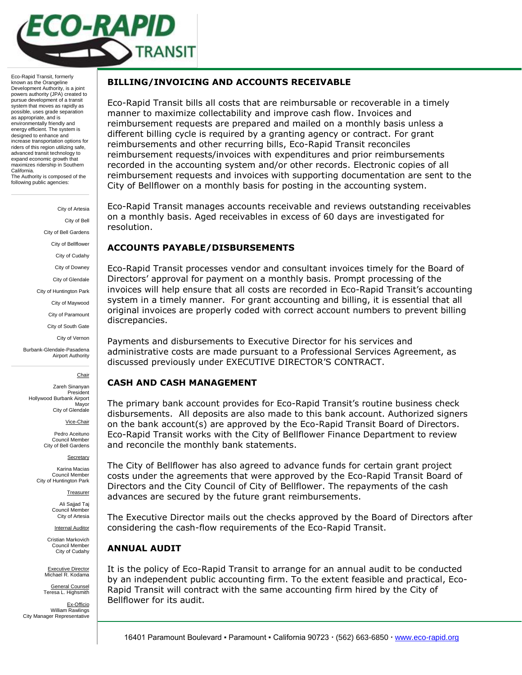

Eco-Rapid Transit, formerly known as the Orangeline Development Authority, is a joint powers authority (JPA) created to pursue development of a transit system that moves as rapidly as possible, uses grade separation as appropriate, and is environmentally friendly and energy efficient. The system is designed to enhance and increase transportation options for riders of this region utilizing safe, advanced transit technology to expand economic growth that maximizes ridership in Southern California. The Authority is composed of the following public agencies:

> City of Artesia City of Bell City of Bell Gardens City of Bellflower City of Cudahy City of Downey City of Glendale City of Huntington Park City of Maywood City of Paramount City of South Gate City of Vernon Burbank-Glendale-Pasadena Airport Authority **Chair**

Zareh Sinanyan President Hollywood Burbank Airport Mayor City of Glendale

Vice-Chair

Pedro Aceituno Council Member City of Bell Gardens

**Secretary** 

Karina Macias Council Member City of Huntington Park

Treasurer

Ali Sajjad Taj Council Member City of Artesia

Internal Auditor

Cristian Markovich Council Member City of Cudahy

Executive Director Michael R. Kodama

General Counsel Teresa L. Highsmith

Ex-Officio William Rawlings City Manager Representative

## **BILLING/INVOICING AND ACCOUNTS RECEIVABLE**

Eco-Rapid Transit bills all costs that are reimbursable or recoverable in a timely manner to maximize collectability and improve cash flow. Invoices and reimbursement requests are prepared and mailed on a monthly basis unless a different billing cycle is required by a granting agency or contract. For grant reimbursements and other recurring bills, Eco-Rapid Transit reconciles reimbursement requests/invoices with expenditures and prior reimbursements recorded in the accounting system and/or other records. Electronic copies of all reimbursement requests and invoices with supporting documentation are sent to the City of Bellflower on a monthly basis for posting in the accounting system.

Eco-Rapid Transit manages accounts receivable and reviews outstanding receivables on a monthly basis. Aged receivables in excess of 60 days are investigated for resolution.

## **ACCOUNTS PAYABLE/DISBURSEMENTS**

Eco-Rapid Transit processes vendor and consultant invoices timely for the Board of Directors' approval for payment on a monthly basis. Prompt processing of the invoices will help ensure that all costs are recorded in Eco-Rapid Transit's accounting system in a timely manner. For grant accounting and billing, it is essential that all original invoices are properly coded with correct account numbers to prevent billing discrepancies.

Payments and disbursements to Executive Director for his services and administrative costs are made pursuant to a Professional Services Agreement, as discussed previously under EXECUTIVE DIRECTOR'S CONTRACT.

## **CASH AND CASH MANAGEMENT**

The primary bank account provides for Eco-Rapid Transit's routine business check disbursements. All deposits are also made to this bank account. Authorized signers on the bank account(s) are approved by the Eco-Rapid Transit Board of Directors. Eco-Rapid Transit works with the City of Bellflower Finance Department to review and reconcile the monthly bank statements.

The City of Bellflower has also agreed to advance funds for certain grant project costs under the agreements that were approved by the Eco-Rapid Transit Board of Directors and the City Council of City of Bellflower. The repayments of the cash advances are secured by the future grant reimbursements.

The Executive Director mails out the checks approved by the Board of Directors after considering the cash-flow requirements of the Eco-Rapid Transit.

## **ANNUAL AUDIT**

It is the policy of Eco-Rapid Transit to arrange for an annual audit to be conducted by an independent public accounting firm. To the extent feasible and practical, Eco-Rapid Transit will contract with the same accounting firm hired by the City of Bellflower for its audit.